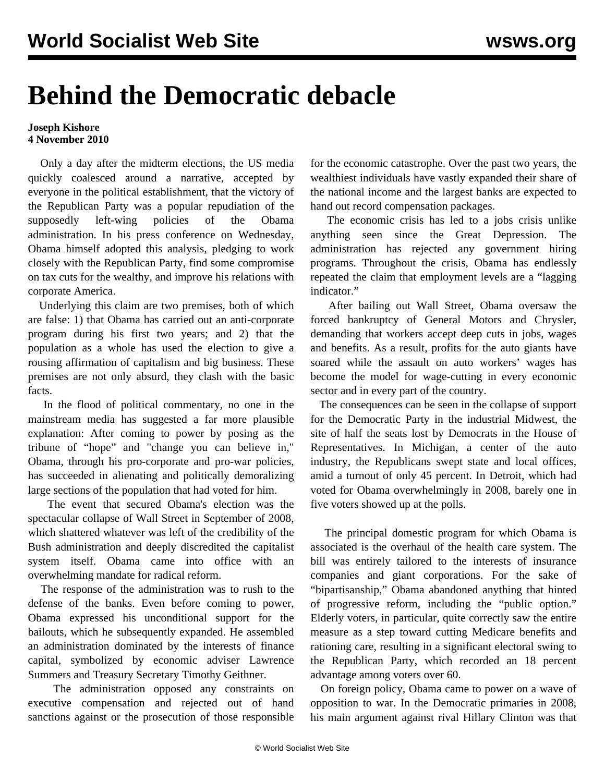## **Behind the Democratic debacle**

## **Joseph Kishore 4 November 2010**

 Only a day after the midterm elections, the US media quickly coalesced around a narrative, accepted by everyone in the political establishment, that the victory of the Republican Party was a popular repudiation of the supposedly left-wing policies of the Obama administration. In his press conference on Wednesday, Obama himself adopted this analysis, pledging to work closely with the Republican Party, find some compromise on tax cuts for the wealthy, and improve his relations with corporate America.

 Underlying this claim are two premises, both of which are false: 1) that Obama has carried out an anti-corporate program during his first two years; and 2) that the population as a whole has used the election to give a rousing affirmation of capitalism and big business. These premises are not only absurd, they clash with the basic facts.

 In the flood of political commentary, no one in the mainstream media has suggested a far more plausible explanation: After coming to power by posing as the tribune of "hope" and "change you can believe in," Obama, through his pro-corporate and pro-war policies, has succeeded in alienating and politically demoralizing large sections of the population that had voted for him.

 The event that secured Obama's election was the spectacular collapse of Wall Street in September of 2008, which shattered whatever was left of the credibility of the Bush administration and deeply discredited the capitalist system itself. Obama came into office with an overwhelming mandate for radical reform.

 The response of the administration was to rush to the defense of the banks. Even before coming to power, Obama expressed his unconditional support for the bailouts, which he subsequently expanded. He assembled an administration dominated by the interests of finance capital, symbolized by economic adviser Lawrence Summers and Treasury Secretary Timothy Geithner.

 The administration opposed any constraints on executive compensation and rejected out of hand sanctions against or the prosecution of those responsible for the economic catastrophe. Over the past two years, the wealthiest individuals have vastly expanded their share of the national income and the largest banks are expected to hand out record compensation packages.

 The economic crisis has led to a jobs crisis unlike anything seen since the Great Depression. The administration has rejected any government hiring programs. Throughout the crisis, Obama has endlessly repeated the claim that employment levels are a "lagging indicator."

 After bailing out Wall Street, Obama oversaw the forced bankruptcy of General Motors and Chrysler, demanding that workers accept deep cuts in jobs, wages and benefits. As a result, profits for the auto giants have soared while the assault on auto workers' wages has become the model for wage-cutting in every economic sector and in every part of the country.

 The consequences can be seen in the collapse of support for the Democratic Party in the industrial Midwest, the site of half the seats lost by Democrats in the House of Representatives. In Michigan, a center of the auto industry, the Republicans swept state and local offices, amid a turnout of only 45 percent. In Detroit, which had voted for Obama overwhelmingly in 2008, barely one in five voters showed up at the polls.

 The principal domestic program for which Obama is associated is the overhaul of the health care system. The bill was entirely tailored to the interests of insurance companies and giant corporations. For the sake of "bipartisanship," Obama abandoned anything that hinted of progressive reform, including the "public option." Elderly voters, in particular, quite correctly saw the entire measure as a step toward cutting Medicare benefits and rationing care, resulting in a significant electoral swing to the Republican Party, which recorded an 18 percent advantage among voters over 60.

 On foreign policy, Obama came to power on a wave of opposition to war. In the Democratic primaries in 2008, his main argument against rival Hillary Clinton was that